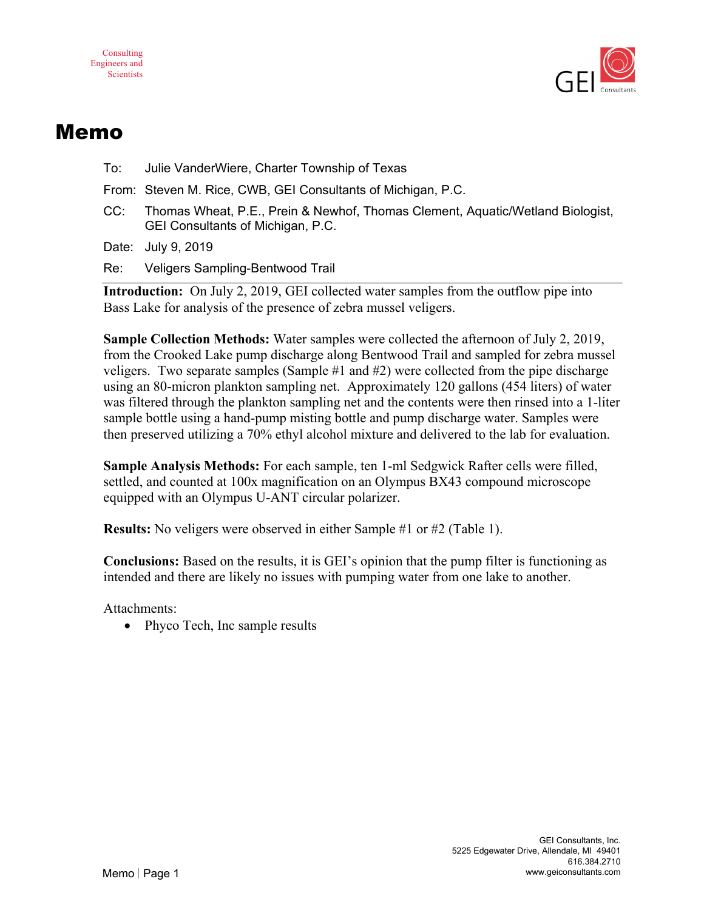



## Memo

To: Julie VanderWiere, Charter Township of Texas

From: Steven M. Rice, CWB, GEI Consultants of Michigan, P.C.

CC: Thomas Wheat, P.E., Prein & Newhof, Thomas Clement, Aquatic/Wetland Biologist, GEI Consultants of Michigan, P.C.

Date: July 9, 2019

Re: Veligers Sampling-Bentwood Trail

**Introduction:** On July 2, 2019, GEI collected water samples from the outflow pipe into Bass Lake for analysis of the presence of zebra mussel veligers.

**Sample Collection Methods:** Water samples were collected the afternoon of July 2, 2019, from the Crooked Lake pump discharge along Bentwood Trail and sampled for zebra mussel veligers. Two separate samples (Sample #1 and #2) were collected from the pipe discharge using an 80-micron plankton sampling net. Approximately 120 gallons (454 liters) of water was filtered through the plankton sampling net and the contents were then rinsed into a 1-liter sample bottle using a hand-pump misting bottle and pump discharge water. Samples were then preserved utilizing a 70% ethyl alcohol mixture and delivered to the lab for evaluation.

**Sample Analysis Methods:** For each sample, ten 1-ml Sedgwick Rafter cells were filled, settled, and counted at 100x magnification on an Olympus BX43 compound microscope equipped with an Olympus U-ANT circular polarizer.

**Results:** No veligers were observed in either Sample #1 or #2 (Table 1).

**Conclusions:** Based on the results, it is GEI's opinion that the pump filter is functioning as intended and there are likely no issues with pumping water from one lake to another.

Attachments:

• Phyco Tech, Inc sample results